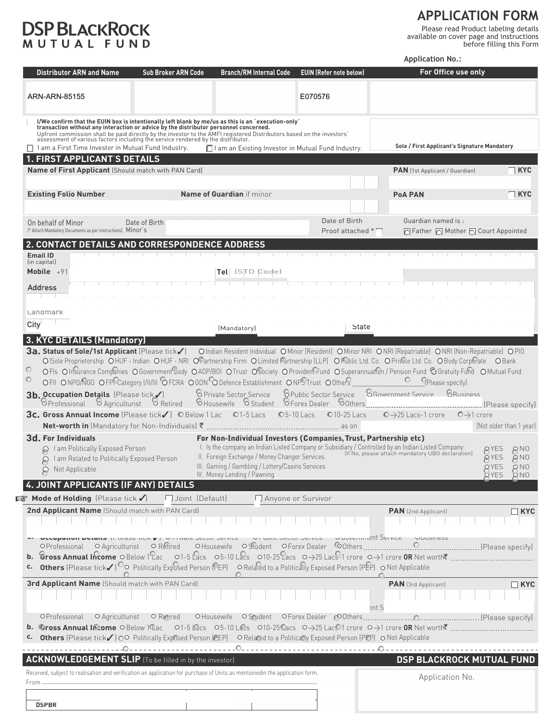## **DSP BLACKROCK**

 **APPLICATION FORM**

Please read Product labeling details available on cover page and instructions

before filling this Form

**Application No.:**

| <b>Distributor ARN and Name</b>                                                                                                                                                                                                                                                                                                                                                                                                                                 | <b>Sub Broker ARN Code</b>              | <b>Branch/RM Internal Code</b>                                                                                                   | <b>EUIN (Refer note below)</b>                                                                                                                                                                       | For Office use only                                                                                                                                         |                         |
|-----------------------------------------------------------------------------------------------------------------------------------------------------------------------------------------------------------------------------------------------------------------------------------------------------------------------------------------------------------------------------------------------------------------------------------------------------------------|-----------------------------------------|----------------------------------------------------------------------------------------------------------------------------------|------------------------------------------------------------------------------------------------------------------------------------------------------------------------------------------------------|-------------------------------------------------------------------------------------------------------------------------------------------------------------|-------------------------|
| ARN-ARN-85155                                                                                                                                                                                                                                                                                                                                                                                                                                                   |                                         |                                                                                                                                  | E070576                                                                                                                                                                                              |                                                                                                                                                             |                         |
| I/We confirm that the EUIN box is intentionally left blank by me/us as this is an "execution-only"<br>transaction without any interaction or advice by the distributor personnel concerned.<br>Upfront commission shall be paid directly by the investor to the AMFI registered Distributors based on the investors'<br>assessment of various factors including the service rendered by the distributor.<br>I am a First Time Investor in Mutual Fund Industry. |                                         | □ I am an Existing Investor in Mutual Fund Industry.                                                                             |                                                                                                                                                                                                      | Sole / First Applicant's Signature Mandatory                                                                                                                |                         |
| <b>FIRST APPLICANT'S DETAILS</b>                                                                                                                                                                                                                                                                                                                                                                                                                                |                                         |                                                                                                                                  |                                                                                                                                                                                                      |                                                                                                                                                             |                         |
| <b>Name of First Applicant (Should match with PAN Card)</b>                                                                                                                                                                                                                                                                                                                                                                                                     |                                         |                                                                                                                                  |                                                                                                                                                                                                      | <b>PAN</b> (1st Applicant / Guardian)                                                                                                                       | ∏ KYC                   |
| <b>Existing Folio Number</b>                                                                                                                                                                                                                                                                                                                                                                                                                                    |                                         | <b>Name of Guardian</b> if minor                                                                                                 |                                                                                                                                                                                                      | <b>PoA PAN</b>                                                                                                                                              | $\sqcap$ KYC            |
|                                                                                                                                                                                                                                                                                                                                                                                                                                                                 |                                         |                                                                                                                                  |                                                                                                                                                                                                      |                                                                                                                                                             |                         |
| On behalf of Minor<br>[* Attach Mandatory Documents as per instructions]. Minor's                                                                                                                                                                                                                                                                                                                                                                               | Date of Birth                           |                                                                                                                                  | Date of Birth<br>Proof attached                                                                                                                                                                      | Guardian named is:<br>□ Father □ Mother □ Court Appointed                                                                                                   |                         |
| 2. CONTACT DETAILS AND CORRESPONDENCE ADDRESS                                                                                                                                                                                                                                                                                                                                                                                                                   |                                         |                                                                                                                                  |                                                                                                                                                                                                      |                                                                                                                                                             |                         |
| <b>Email ID</b><br>(in capital)                                                                                                                                                                                                                                                                                                                                                                                                                                 |                                         |                                                                                                                                  |                                                                                                                                                                                                      |                                                                                                                                                             |                         |
| Mobile $+91$                                                                                                                                                                                                                                                                                                                                                                                                                                                    |                                         | $\mathsf{Tel}$ l (S $\mathsf{TD}$ Code)                                                                                          |                                                                                                                                                                                                      |                                                                                                                                                             |                         |
| Address                                                                                                                                                                                                                                                                                                                                                                                                                                                         |                                         |                                                                                                                                  |                                                                                                                                                                                                      |                                                                                                                                                             |                         |
| Landmark                                                                                                                                                                                                                                                                                                                                                                                                                                                        |                                         |                                                                                                                                  |                                                                                                                                                                                                      |                                                                                                                                                             |                         |
| City                                                                                                                                                                                                                                                                                                                                                                                                                                                            |                                         | (Mandatory)                                                                                                                      | State                                                                                                                                                                                                |                                                                                                                                                             |                         |
| 3. KYC DETAILS (Mandatory)                                                                                                                                                                                                                                                                                                                                                                                                                                      |                                         |                                                                                                                                  |                                                                                                                                                                                                      |                                                                                                                                                             |                         |
| OFII ONPO/NGO OFPPCategory I/II/III OFCRA OGDN ODefence Establishment ONPSTrust O0ther<br>3b. Occupation Details (Please tick/)<br>OProfessional                                                                                                                                                                                                                                                                                                                | <b>B</b> Agriculturist <b>B</b> Retired | <b>&amp; Private Sector Service</b><br><b>SHousewife SStudent SForex Dealer</b>                                                  | <b><i><u>O Public Sector Service</u></i></b><br>O <sub>Others</sub><br>© 5-10 Lacs<br>©10-25 Lacs                                                                                                    | <b>Please specifyl</b><br><b>8 Government Service</b><br><b><i>BRusiness</i></b><br>$\odot$ $\rightarrow$ 25 Lacs-1 crore<br>$\bigcirc \rightarrow 1$ crore | (Not older than 1 year) |
| <b>3d. For Individuals</b>                                                                                                                                                                                                                                                                                                                                                                                                                                      |                                         |                                                                                                                                  | For Non-Individual Investors (Companies, Trust, Partnership etc)                                                                                                                                     |                                                                                                                                                             |                         |
| I am Politically Exposed Person<br>9<br>I am Related to Politically Exposed Person<br>P<br>Not Applicable<br>₽                                                                                                                                                                                                                                                                                                                                                  |                                         | II. Foreign Exchange / Money Changer Services<br>III. Gaming / Gambling / Lottery/Casino Services<br>IV. Money Lending / Pawning | I. Is the company an Indian Listed Company or Subsidiary / Controlled by an Indian Listed Company:<br>II. Fersian Exchange / Menou Changer Sentices (If No. please attach mandatory UBO declaration) | QYES<br>PNO<br>@ YES<br>$\odot$ NO<br>QYES<br>$\Omega$ NO<br><b>QYES</b><br>O NO                                                                            |                         |
|                                                                                                                                                                                                                                                                                                                                                                                                                                                                 |                                         |                                                                                                                                  |                                                                                                                                                                                                      |                                                                                                                                                             |                         |
| <b>IS Mode of Holding</b> (Please tick √) □ Joint (Default)                                                                                                                                                                                                                                                                                                                                                                                                     |                                         |                                                                                                                                  | Anyone or Survivor                                                                                                                                                                                   |                                                                                                                                                             |                         |
| 2nd Applicant Name (Should match with PAN Card)                                                                                                                                                                                                                                                                                                                                                                                                                 |                                         |                                                                                                                                  |                                                                                                                                                                                                      | <b>PAN</b> (2nd Applicant)                                                                                                                                  | $\Box$ KYC              |
| <b>ULLUPATION DETAILS</b> (FIEASE LICK V ) OF HIVALE JECTOR JEI VICE<br>OProfessional<br><b>c.</b> Others (Please tick√) <sup>○</sup> ○ Politically Exposed Person (PEP) ○ Related to a Politically Exposed Person (PEP) ○ Not Applicable                                                                                                                                                                                                                       | ○ Agriculturist   ○ Retired             |                                                                                                                                  | Ouvermient Service<br><b>VE UDIIL JELIUI JEI VILE</b>                                                                                                                                                |                                                                                                                                                             |                         |
| <b>3rd Applicant Name</b> (Should match with PAN Card)                                                                                                                                                                                                                                                                                                                                                                                                          |                                         |                                                                                                                                  |                                                                                                                                                                                                      | PAN (3rd Applicant)                                                                                                                                         | $\Box$ KYC              |
|                                                                                                                                                                                                                                                                                                                                                                                                                                                                 |                                         |                                                                                                                                  |                                                                                                                                                                                                      | ent S                                                                                                                                                       |                         |
| OProfessional<br>Others (Please tick/) OO Politically Exposed Person (PEP) O Related to a Politicatly Exposed Person (PEP) O Not Applicable                                                                                                                                                                                                                                                                                                                     | $\circ$ Agriculturist $\circ$ Retired   |                                                                                                                                  |                                                                                                                                                                                                      |                                                                                                                                                             |                         |
|                                                                                                                                                                                                                                                                                                                                                                                                                                                                 |                                         |                                                                                                                                  | .                                                                                                                                                                                                    | - O -                                                                                                                                                       |                         |
| <b>ACKNOWLEDGEMENT SLIP</b> (To be filled in by the investor)                                                                                                                                                                                                                                                                                                                                                                                                   |                                         |                                                                                                                                  |                                                                                                                                                                                                      | <b>DSP BLACKROCK MUTUAL FUND</b>                                                                                                                            |                         |
| Received, subject to realisation and verification an application for purchase of Units as mentionedin the application form.<br>From.                                                                                                                                                                                                                                                                                                                            |                                         |                                                                                                                                  |                                                                                                                                                                                                      | Application No.                                                                                                                                             |                         |
|                                                                                                                                                                                                                                                                                                                                                                                                                                                                 |                                         |                                                                                                                                  |                                                                                                                                                                                                      |                                                                                                                                                             |                         |
| <b>DSPBR</b>                                                                                                                                                                                                                                                                                                                                                                                                                                                    |                                         |                                                                                                                                  |                                                                                                                                                                                                      |                                                                                                                                                             |                         |